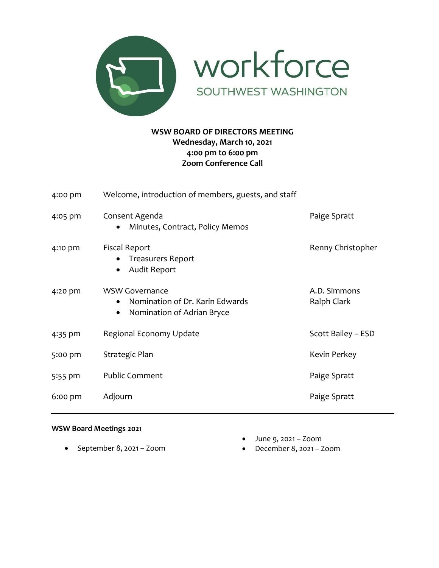

workforce SOUTHWEST WASHINGTON

# **WSW BOARD OF DIRECTORS MEETING Wednesday, March 10, 2021 4:00 pm to 6:00 pm Zoom Conference Call**

| 4:00 pm   | Welcome, introduction of members, guests, and staff                                    |                             |
|-----------|----------------------------------------------------------------------------------------|-----------------------------|
| 4:05 pm   | Consent Agenda<br>Minutes, Contract, Policy Memos                                      | Paige Spratt                |
| 4:10 pm   | <b>Fiscal Report</b><br><b>Treasurers Report</b><br>Audit Report                       | Renny Christopher           |
| 4:20 pm   | <b>WSW Governance</b><br>Nomination of Dr. Karin Edwards<br>Nomination of Adrian Bryce | A.D. Simmons<br>Ralph Clark |
| 4:35 pm   | Regional Economy Update                                                                | Scott Bailey - ESD          |
| 5:00 pm   | Kevin Perkey<br>Strategic Plan                                                         |                             |
| 5:55 pm   | <b>Public Comment</b>                                                                  | Paige Spratt                |
| $6:00$ pm | Adjourn<br>Paige Spratt                                                                |                             |

## **WSW Board Meetings 2021**

• September 8, 2021 – Zoom

- June 9, 2021 Zoom
- December 8, 2021 Zoom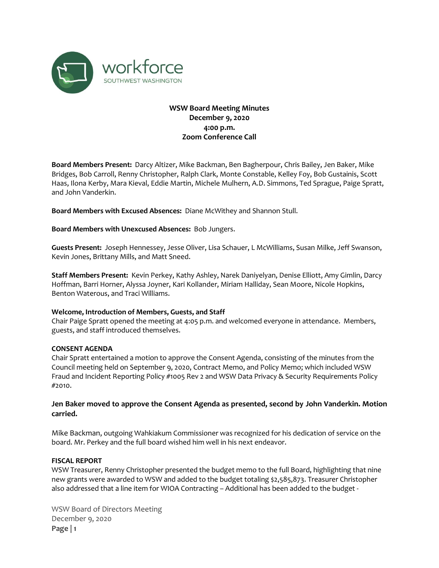

## **WSW Board Meeting Minutes December 9, 2020 4:00 p.m. Zoom Conference Call**

**Board Members Present:** Darcy Altizer, Mike Backman, Ben Bagherpour, Chris Bailey, Jen Baker, Mike Bridges, Bob Carroll, Renny Christopher, Ralph Clark, Monte Constable, Kelley Foy, Bob Gustainis, Scott Haas, Ilona Kerby, Mara Kieval, Eddie Martin, Michele Mulhern, A.D. Simmons, Ted Sprague, Paige Spratt, and John Vanderkin.

**Board Members with Excused Absences:** Diane McWithey and Shannon Stull.

**Board Members with Unexcused Absences:** Bob Jungers.

**Guests Present:** Joseph Hennessey, Jesse Oliver, Lisa Schauer, L McWilliams, Susan Milke, Jeff Swanson, Kevin Jones, Brittany Mills, and Matt Sneed.

**Staff Members Present:** Kevin Perkey, Kathy Ashley, Narek Daniyelyan, Denise Elliott, Amy Gimlin, Darcy Hoffman, Barri Horner, Alyssa Joyner, Kari Kollander, Miriam Halliday, Sean Moore, Nicole Hopkins, Benton Waterous, and Traci Williams.

#### **Welcome, Introduction of Members, Guests, and Staff**

Chair Paige Spratt opened the meeting at 4:05 p.m. and welcomed everyone in attendance. Members, guests, and staff introduced themselves.

#### **CONSENT AGENDA**

Chair Spratt entertained a motion to approve the Consent Agenda, consisting of the minutes from the Council meeting held on September 9, 2020, Contract Memo, and Policy Memo; which included WSW Fraud and Incident Reporting Policy #1005 Rev 2 and WSW Data Privacy & Security Requirements Policy #2010.

#### **Jen Baker moved to approve the Consent Agenda as presented, second by John Vanderkin. Motion carried.**

Mike Backman, outgoing Wahkiakum Commissioner was recognized for his dedication of service on the board. Mr. Perkey and the full board wished him well in his next endeavor.

#### **FISCAL REPORT**

WSW Treasurer, Renny Christopher presented the budget memo to the full Board, highlighting that nine new grants were awarded to WSW and added to the budget totaling \$2,585,873. Treasurer Christopher also addressed that a line item for WIOA Contracting – Additional has been added to the budget -

WSW Board of Directors Meeting December 9, 2020 **Page | 1**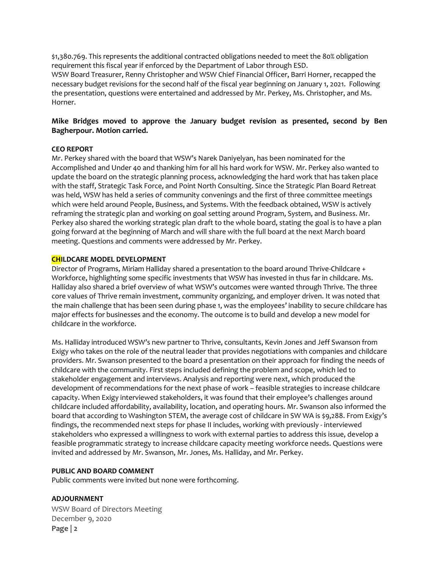\$1,380.769. This represents the additional contracted obligations needed to meet the 80% obligation requirement this fiscal year if enforced by the Department of Labor through ESD.

WSW Board Treasurer, Renny Christopher and WSW Chief Financial Officer, Barri Horner, recapped the necessary budget revisions for the second half of the fiscal year beginning on January 1, 2021. Following the presentation, questions were entertained and addressed by Mr. Perkey, Ms. Christopher, and Ms. Horner.

### **Mike Bridges moved to approve the January budget revision as presented, second by Ben Bagherpour. Motion carried.**

#### **CEO REPORT**

Mr. Perkey shared with the board that WSW's Narek Daniyelyan, has been nominated for the Accomplished and Under 40 and thanking him for all his hard work for WSW. Mr. Perkey also wanted to update the board on the strategic planning process, acknowledging the hard work that has taken place with the staff, Strategic Task Force, and Point North Consulting. Since the Strategic Plan Board Retreat was held, WSW has held a series of community convenings and the first of three committee meetings which were held around People, Business, and Systems. With the feedback obtained, WSW is actively reframing the strategic plan and working on goal setting around Program, System, and Business. Mr. Perkey also shared the working strategic plan draft to the whole board, stating the goal is to have a plan going forward at the beginning of March and will share with the full board at the next March board meeting. Questions and comments were addressed by Mr. Perkey.

#### **CHILDCARE MODEL DEVELOPMENT**

Director of Programs, Miriam Halliday shared a presentation to the board around Thrive-Childcare + Workforce, highlighting some specific investments that WSW has invested in thus far in childcare. Ms. Halliday also shared a brief overview of what WSW's outcomes were wanted through Thrive. The three core values of Thrive remain investment, community organizing, and employer driven. It was noted that the main challenge that has been seen during phase 1, was the employees' inability to secure childcare has major effects for businesses and the economy. The outcome is to build and develop a new model for childcare in the workforce.

Ms. Halliday introduced WSW's new partner to Thrive, consultants, Kevin Jones and Jeff Swanson from Exigy who takes on the role of the neutral leader that provides negotiations with companies and childcare providers. Mr. Swanson presented to the board a presentation on their approach for finding the needs of childcare with the community. First steps included defining the problem and scope, which led to stakeholder engagement and interviews. Analysis and reporting were next, which produced the development of recommendations for the next phase of work – feasible strategies to increase childcare capacity. When Exigy interviewed stakeholders, it was found that their employee's challenges around childcare included affordability, availability, location, and operating hours. Mr. Swanson also informed the board that according to Washington STEM, the average cost of childcare in SW WA is \$9,288. From Exigy's findings, the recommended next steps for phase II includes, working with previously - interviewed stakeholders who expressed a willingness to work with external parties to address this issue, develop a feasible programmatic strategy to increase childcare capacity meeting workforce needs. Questions were invited and addressed by Mr. Swanson, Mr. Jones, Ms. Halliday, and Mr. Perkey.

#### **PUBLIC AND BOARD COMMENT**

Public comments were invited but none were forthcoming.

#### **ADJOURNMENT**

WSW Board of Directors Meeting December 9, 2020 **Page | 2**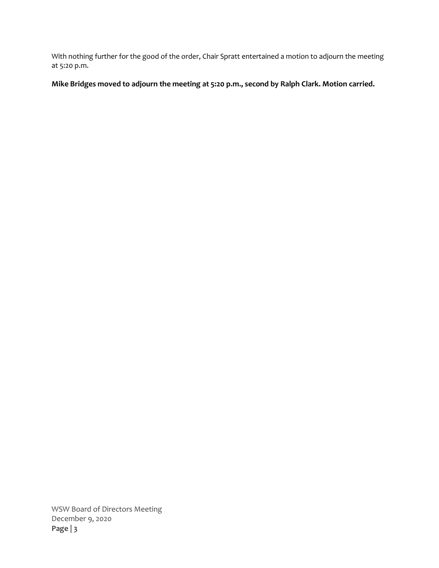With nothing further for the good of the order, Chair Spratt entertained a motion to adjourn the meeting at 5:20 p.m.

**Mike Bridges moved to adjourn the meeting at 5:20 p.m., second by Ralph Clark. Motion carried.** 

WSW Board of Directors Meeting December 9, 2020 **Page | 3**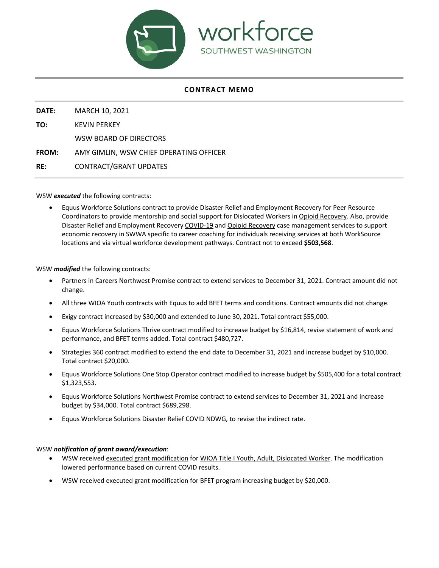

#### **CONTRACT MEMO**

**DATE:** MARCH 10, 2021

**TO:** KEVIN PERKEY

WSW BOARD OF DIRECTORS

**FROM:** AMY GIMLIN, WSW CHIEF OPERATING OFFICER

**RE:** CONTRACT/GRANT UPDATES

WSW *executed* the following contracts:

• Equus Workforce Solutions contract to provide Disaster Relief and Employment Recovery for Peer Resource Coordinators to provide mentorship and social support for Dislocated Workers in Opioid Recovery. Also, provide Disaster Relief and Employment Recovery COVID-19 and Opioid Recovery case management services to support economic recovery in SWWA specific to career coaching for individuals receiving services at both WorkSource locations and via virtual workforce development pathways. Contract not to exceed **\$503,568**.

WSW *modified* the following contracts:

- Partners in Careers Northwest Promise contract to extend services to December 31, 2021. Contract amount did not change.
- All three WIOA Youth contracts with Equus to add BFET terms and conditions. Contract amounts did not change.
- Exigy contract increased by \$30,000 and extended to June 30, 2021. Total contract \$55,000.
- Equus Workforce Solutions Thrive contract modified to increase budget by \$16,814, revise statement of work and performance, and BFET terms added. Total contract \$480,727.
- Strategies 360 contract modified to extend the end date to December 31, 2021 and increase budget by \$10,000. Total contract \$20,000.
- Equus Workforce Solutions One Stop Operator contract modified to increase budget by \$505,400 for a total contract \$1,323,553.
- Equus Workforce Solutions Northwest Promise contract to extend services to December 31, 2021 and increase budget by \$34,000. Total contract \$689,298.
- Equus Workforce Solutions Disaster Relief COVID NDWG, to revise the indirect rate.

#### WSW *notification of grant award/execution*:

- WSW received executed grant modification for WIOA Title I Youth, Adult, Dislocated Worker. The modification lowered performance based on current COVID results.
- WSW received executed grant modification for BFET program increasing budget by \$20,000.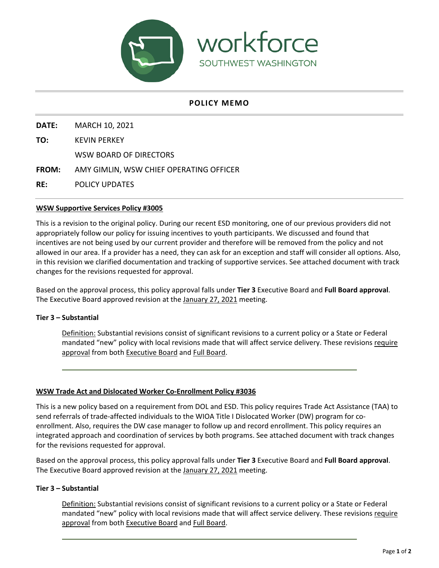

## **POLICY MEMO**

**DATE:** MARCH 10, 2021

**TO:** KEVIN PERKEY

WSW BOARD OF DIRECTORS

**FROM:** AMY GIMLIN, WSW CHIEF OPERATING OFFICER

**RE:** POLICY UPDATES

#### **WSW Supportive Services Policy #3005**

This is a revision to the original policy. During our recent ESD monitoring, one of our previous providers did not appropriately follow our policy for issuing incentives to youth participants. We discussed and found that incentives are not being used by our current provider and therefore will be removed from the policy and not allowed in our area. If a provider has a need, they can ask for an exception and staff will consider all options. Also, in this revision we clarified documentation and tracking of supportive services. See attached document with track changes for the revisions requested for approval.

Based on the approval process, this policy approval falls under **Tier 3** Executive Board and **Full Board approval**. The Executive Board approved revision at the January 27, 2021 meeting.

#### **Tier 3 – Substantial**

Definition: Substantial revisions consist of significant revisions to a current policy or a State or Federal mandated "new" policy with local revisions made that will affect service delivery. These revisions require approval from both Executive Board and Full Board.

#### **WSW Trade Act and Dislocated Worker Co-Enrollment Policy #3036**

This is a new policy based on a requirement from DOL and ESD. This policy requires Trade Act Assistance (TAA) to send referrals of trade-affected individuals to the WIOA Title I Dislocated Worker (DW) program for coenrollment. Also, requires the DW case manager to follow up and record enrollment. This policy requires an integrated approach and coordination of services by both programs. See attached document with track changes for the revisions requested for approval.

Based on the approval process, this policy approval falls under **Tier 3** Executive Board and **Full Board approval**. The Executive Board approved revision at the January 27, 2021 meeting.

#### **Tier 3 – Substantial**

Definition: Substantial revisions consist of significant revisions to a current policy or a State or Federal mandated "new" policy with local revisions made that will affect service delivery. These revisions require approval from both Executive Board and Full Board.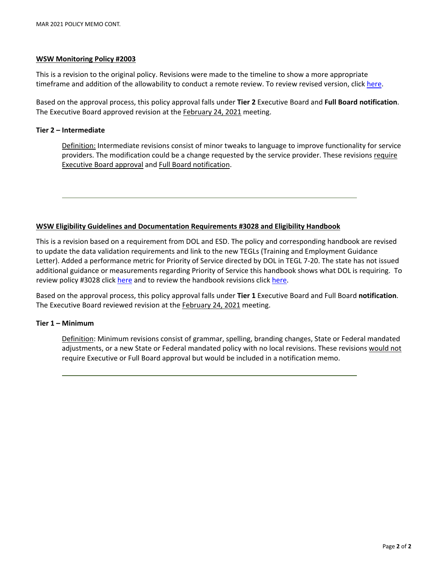#### **WSW Monitoring Policy #2003**

This is a revision to the original policy. Revisions were made to the timeline to show a more appropriate timeframe and addition of the allowability to conduct a remote review. To review revised version, click [here.](https://workforcesw.org/wp-content/uploads/2003-rev-3-monitoring-policy.pdf)

Based on the approval process, this policy approval falls under **Tier 2** Executive Board and **Full Board notification**. The Executive Board approved revision at the February 24, 2021 meeting.

#### **Tier 2 – Intermediate**

Definition: Intermediate revisions consist of minor tweaks to language to improve functionality for service providers. The modification could be a change requested by the service provider. These revisions require Executive Board approval and Full Board notification.

#### **WSW Eligibility Guidelines and Documentation Requirements #3028 and Eligibility Handbook**

This is a revision based on a requirement from DOL and ESD. The policy and corresponding handbook are revised to update the data validation requirements and link to the new TEGLs (Training and Employment Guidance Letter). Added a performance metric for Priority of Service directed by DOL in TEGL 7-20. The state has not issued additional guidance or measurements regarding Priority of Service this handbook shows what DOL is requiring. To review policy #3028 click [here](https://workforcesw.org/wp-content/uploads/3028-rev-4-eligibility-guidelines-and-documentation-requirements.pdf) and to review the handbook revisions clic[k here.](https://workforcesw.org/wp-content/uploads/eligibility_policy_handbook_wsw_jan-2021.pdf)

Based on the approval process, this policy approval falls under **Tier 1** Executive Board and Full Board **notification**. The Executive Board reviewed revision at the February 24, 2021 meeting.

#### **Tier 1 – Minimum**

Definition: Minimum revisions consist of grammar, spelling, branding changes, State or Federal mandated adjustments, or a new State or Federal mandated policy with no local revisions. These revisions would not require Executive or Full Board approval but would be included in a notification memo.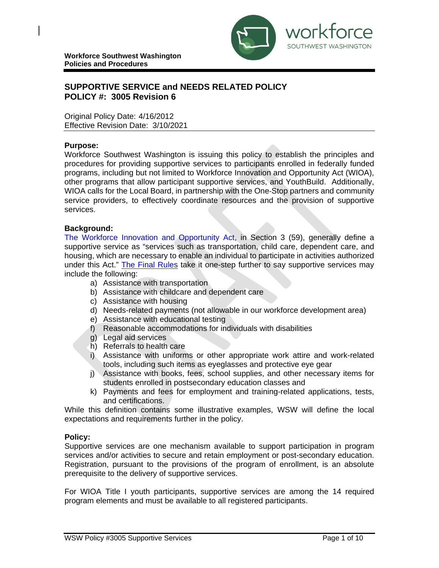

# **SUPPORTIVE SERVICE and NEEDS RELATED POLICY POLICY #: 3005 Revision 6**

Original Policy Date: 4/16/2012 Effective Revision Date: 3/10/2021

### **Purpose:**

Workforce Southwest Washington is issuing this policy to establish the principles and procedures for providing supportive services to participants enrolled in federally funded programs, including but not limited to Workforce Innovation and Opportunity Act (WIOA), other programs that allow participant supportive services, and YouthBuild. Additionally, WIOA calls for the Local Board, in partnership with the One‐Stop partners and community service providers, to effectively coordinate resources and the provision of supportive services.

### **Background:**

[The Workforce Innovation and Opportunity Act,](https://www.congress.gov/113/bills/hr803/BILLS-113hr803enr.pdf) in Section 3 (59), generally define a supportive service as "services such as transportation, child care, dependent care, and housing, which are necessary to enable an individual to participate in activities authorized under this Act." [The Final Rules](https://www.doleta.gov/WIOA/Docs/wioa-regs-labor-final-rule.pdf) take it one-step further to say supportive services may include the following:

- a) Assistance with transportation
- b) Assistance with childcare and dependent care
- c) Assistance with housing
- d) Needs-related payments (not allowable in our workforce development area)
- e) Assistance with educational testing
- f) Reasonable accommodations for individuals with disabilities
- g) Legal aid services
- h) Referrals to health care
- i) Assistance with uniforms or other appropriate work attire and work-related tools, including such items as eyeglasses and protective eye gear
- j) Assistance with books, fees, school supplies, and other necessary items for students enrolled in postsecondary education classes and
- k) Payments and fees for employment and training-related applications, tests, and certifications.

While this definition contains some illustrative examples, WSW will define the local expectations and requirements further in the policy.

## **Policy:**

Supportive services are one mechanism available to support participation in program services and/or activities to secure and retain employment or post-secondary education. Registration, pursuant to the provisions of the program of enrollment, is an absolute prerequisite to the delivery of supportive services.

For WIOA Title I youth participants, supportive services are among the 14 required program elements and must be available to all registered participants.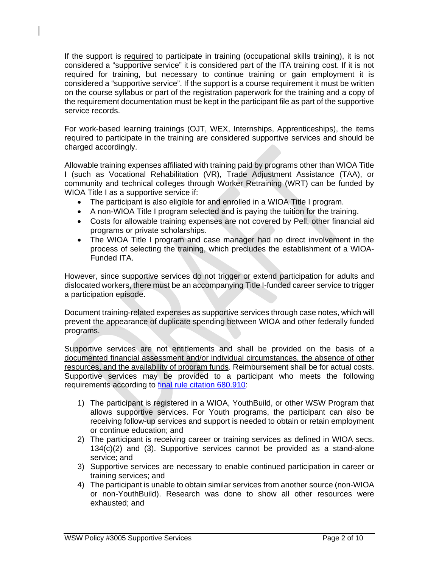If the support is required to participate in training (occupational skills training), it is not considered a "supportive service" it is considered part of the ITA training cost. If it is not required for training, but necessary to continue training or gain employment it is considered a "supportive service". If the support is a course requirement it must be written on the course syllabus or part of the registration paperwork for the training and a copy of the requirement documentation must be kept in the participant file as part of the supportive service records.

For work-based learning trainings (OJT, WEX, Internships, Apprenticeships), the items required to participate in the training are considered supportive services and should be charged accordingly.

Allowable training expenses affiliated with training paid by programs other than WIOA Title I (such as Vocational Rehabilitation (VR), Trade Adjustment Assistance (TAA), or community and technical colleges through Worker Retraining (WRT) can be funded by WIOA Title I as a supportive service if:

- The participant is also eligible for and enrolled in a WIOA Title I program.
- A non-WIOA Title I program selected and is paying the tuition for the training.
- Costs for allowable training expenses are not covered by Pell, other financial aid programs or private scholarships.
- The WIOA Title I program and case manager had no direct involvement in the process of selecting the training, which precludes the establishment of a WIOA-Funded ITA.

However, since supportive services do not trigger or extend participation for adults and dislocated workers, there must be an accompanying Title I-funded career service to trigger a participation episode.

Document training-related expenses as supportive services through case notes, which will prevent the appearance of duplicate spending between WIOA and other federally funded programs.

Supportive services are not entitlements and shall be provided on the basis of a documented financial assessment and/or individual circumstances, the absence of other resources, and the availability of program funds. Reimbursement shall be for actual costs. Supportive services may be provided to a participant who meets the following requirements according to [final rule citation 680.910:](https://www.doleta.gov/WIOA/Docs/wioa-regs-labor-final-rule.pdf)

- 1) The participant is registered in a WIOA, YouthBuild, or other WSW Program that allows supportive services. For Youth programs, the participant can also be receiving follow-up services and support is needed to obtain or retain employment or continue education; and
- 2) The participant is receiving career or training services as defined in WIOA secs. 134(c)(2) and (3). Supportive services cannot be provided as a stand-alone service; and
- 3) Supportive services are necessary to enable continued participation in career or training services; and
- 4) The participant is unable to obtain similar services from another source (non-WIOA or non-YouthBuild). Research was done to show all other resources were exhausted; and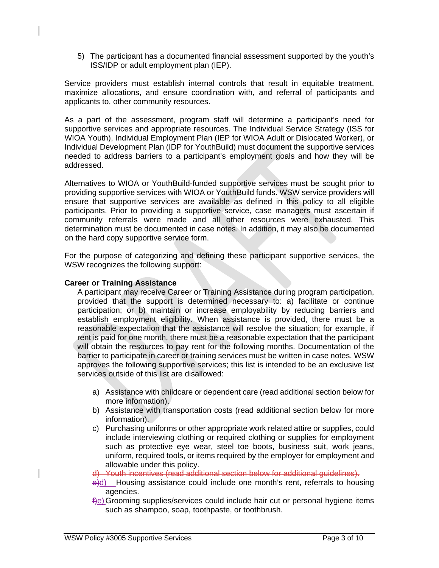5) The participant has a documented financial assessment supported by the youth's ISS/IDP or adult employment plan (IEP).

Service providers must establish internal controls that result in equitable treatment, maximize allocations, and ensure coordination with, and referral of participants and applicants to, other community resources.

As a part of the assessment, program staff will determine a participant's need for supportive services and appropriate resources. The Individual Service Strategy (ISS for WIOA Youth), Individual Employment Plan (IEP for WIOA Adult or Dislocated Worker), or Individual Development Plan (IDP for YouthBuild) must document the supportive services needed to address barriers to a participant's employment goals and how they will be addressed.

Alternatives to WIOA or YouthBuild-funded supportive services must be sought prior to providing supportive services with WIOA or YouthBuild funds. WSW service providers will ensure that supportive services are available as defined in this policy to all eligible participants. Prior to providing a supportive service, case managers must ascertain if community referrals were made and all other resources were exhausted. This determination must be documented in case notes. In addition, it may also be documented on the hard copy supportive service form.

For the purpose of categorizing and defining these participant supportive services, the WSW recognizes the following support:

## **Career or Training Assistance**

A participant may receive Career or Training Assistance during program participation, provided that the support is determined necessary to: a) facilitate or continue participation; or b) maintain or increase employability by reducing barriers and establish employment eligibility. When assistance is provided, there must be a reasonable expectation that the assistance will resolve the situation; for example, if rent is paid for one month, there must be a reasonable expectation that the participant will obtain the resources to pay rent for the following months. Documentation of the barrier to participate in career or training services must be written in case notes. WSW approves the following supportive services; this list is intended to be an exclusive list services outside of this list are disallowed:

- a) Assistance with childcare or dependent care (read additional section below for more information).
- b) Assistance with transportation costs (read additional section below for more information).
- c) Purchasing uniforms or other appropriate work related attire or supplies, could include interviewing clothing or required clothing or supplies for employment such as protective eye wear, steel toe boots, business suit, work jeans, uniform, required tools, or items required by the employer for employment and allowable under this policy.

d) Youth incentives (read additional section below for additional guidelines).

- e)d) Housing assistance could include one month's rent, referrals to housing agencies.
- f)e)Grooming supplies/services could include hair cut or personal hygiene items such as shampoo, soap, toothpaste, or toothbrush.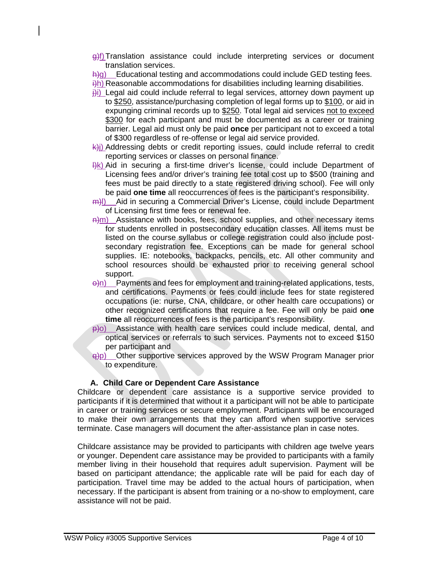g)f)Translation assistance could include interpreting services or document translation services.

 $h$ )g) Educational testing and accommodations could include GED testing fees.  $\hat{H}$ ) Reasonable accommodations for disabilities including learning disabilities.

- $\ddot{\theta}$ i) Legal aid could include referral to legal services, attorney down payment up
- to \$250, assistance/purchasing completion of legal forms up to \$100, or aid in expunging criminal records up to \$250. Total legal aid services not to exceed \$300 for each participant and must be documented as a career or training barrier. Legal aid must only be paid **once** per participant not to exceed a total of \$300 regardless of re-offense or legal aid service provided.
- $k$ )) Addressing debts or credit reporting issues, could include referral to credit reporting services or classes on personal finance.
- $\frac{f(k)}{k}$  Aid in securing a first-time driver's license, could include Department of Licensing fees and/or driver's training fee total cost up to \$500 (training and fees must be paid directly to a state registered driving school). Fee will only be paid **one time** all reoccurrences of fees is the participant's responsibility.
- m)l) Aid in securing a Commercial Driver's License, could include Department of Licensing first time fees or renewal fee.
- $\frac{m}{m}$  Assistance with books, fees, school supplies, and other necessary items for students enrolled in postsecondary education classes. All items must be listed on the course syllabus or college registration could also include postsecondary registration fee. Exceptions can be made for general school supplies. IE: notebooks, backpacks, pencils, etc. All other community and school resources should be exhausted prior to receiving general school support.
- $\Theta$ n) Payments and fees for employment and training-related applications, tests, and certifications. Payments or fees could include fees for state registered occupations (ie: nurse, CNA, childcare, or other health care occupations) or other recognized certifications that require a fee. Fee will only be paid **one time** all reoccurrences of fees is the participant's responsibility.
- p)o) Assistance with health care services could include medical, dental, and optical services or referrals to such services. Payments not to exceed \$150 per participant and
- q)p) Other supportive services approved by the WSW Program Manager prior to expenditure.

# **A. Child Care or Dependent Care Assistance**

Childcare or dependent care assistance is a supportive service provided to participants if it is determined that without it a participant will not be able to participate in career or training services or secure employment. Participants will be encouraged to make their own arrangements that they can afford when supportive services terminate. Case managers will document the after-assistance plan in case notes.

Childcare assistance may be provided to participants with children age twelve years or younger. Dependent care assistance may be provided to participants with a family member living in their household that requires adult supervision. Payment will be based on participant attendance; the applicable rate will be paid for each day of participation. Travel time may be added to the actual hours of participation, when necessary. If the participant is absent from training or a no-show to employment, care assistance will not be paid.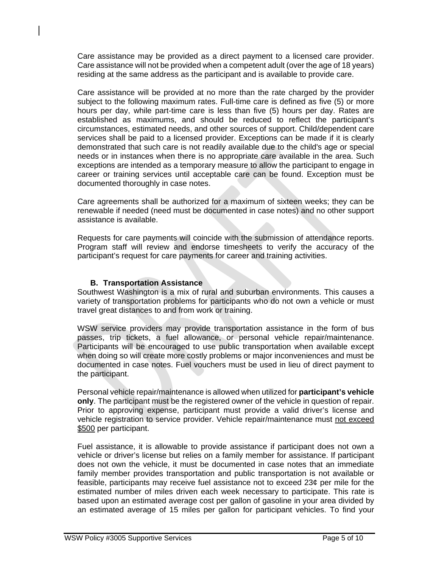Care assistance may be provided as a direct payment to a licensed care provider. Care assistance will not be provided when a competent adult (over the age of 18 years) residing at the same address as the participant and is available to provide care.

Care assistance will be provided at no more than the rate charged by the provider subject to the following maximum rates. Full-time care is defined as five (5) or more hours per day, while part-time care is less than five (5) hours per day. Rates are established as maximums, and should be reduced to reflect the participant's circumstances, estimated needs, and other sources of support. Child/dependent care services shall be paid to a licensed provider. Exceptions can be made if it is clearly demonstrated that such care is not readily available due to the child's age or special needs or in instances when there is no appropriate care available in the area. Such exceptions are intended as a temporary measure to allow the participant to engage in career or training services until acceptable care can be found. Exception must be documented thoroughly in case notes.

Care agreements shall be authorized for a maximum of sixteen weeks; they can be renewable if needed (need must be documented in case notes) and no other support assistance is available.

Requests for care payments will coincide with the submission of attendance reports. Program staff will review and endorse timesheets to verify the accuracy of the participant's request for care payments for career and training activities.

## **B. Transportation Assistance**

Southwest Washington is a mix of rural and suburban environments. This causes a variety of transportation problems for participants who do not own a vehicle or must travel great distances to and from work or training.

WSW service providers may provide transportation assistance in the form of bus passes, trip tickets, a fuel allowance, or personal vehicle repair/maintenance. Participants will be encouraged to use public transportation when available except when doing so will create more costly problems or major inconveniences and must be documented in case notes. Fuel vouchers must be used in lieu of direct payment to the participant.

Personal vehicle repair/maintenance is allowed when utilized for **participant's vehicle only**. The participant must be the registered owner of the vehicle in question of repair. Prior to approving expense, participant must provide a valid driver's license and vehicle registration to service provider. Vehicle repair/maintenance must not exceed \$500 per participant.

Fuel assistance, it is allowable to provide assistance if participant does not own a vehicle or driver's license but relies on a family member for assistance. If participant does not own the vehicle, it must be documented in case notes that an immediate family member provides transportation and public transportation is not available or feasible, participants may receive fuel assistance not to exceed 23¢ per mile for the estimated number of miles driven each week necessary to participate. This rate is based upon an estimated average cost per gallon of gasoline in your area divided by an estimated average of 15 miles per gallon for participant vehicles. To find your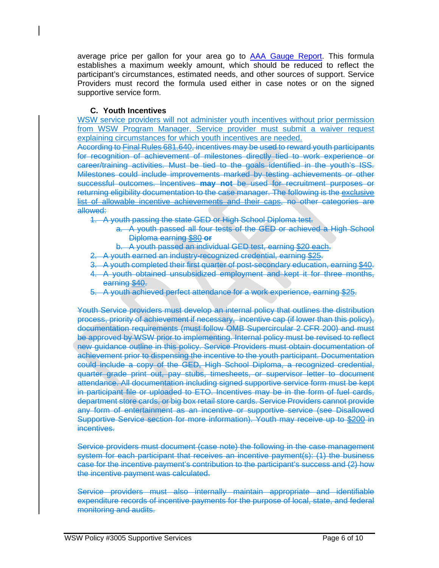average price per gallon for your area go to **AAA Gauge Report**. This formula establishes a maximum weekly amount, which should be reduced to reflect the participant's circumstances, estimated needs, and other sources of support. Service Providers must record the formula used either in case notes or on the signed supportive service form.

## **C. Youth Incentives**

WSW service providers will not administer youth incentives without prior permission from WSW Program Manager. Service provider must submit a waiver request explaining circumstances for which youth incentives are needed.

According to Final Rules 681.640, incentives may be used to reward youth participants for recognition of achievement of milestones directly tied to work experience or career/training activities. Must be tied to the goals identified in the youth's ISS. Milestones could include improvements marked by testing achievements or other successful outcomes. Incentives **may not** be used for recruitment purposes or returning eligibility documentation to the case manager. The following is the exclusive list of allowable incentive achievements and their caps, no other categories are allowed:

- 1. A youth passing the state GED or High School Diploma test.
	- a. A youth passed all four tests of the GED or achieved a High School Diploma earning \$80 **or**
	- b. A youth passed an individual GED test, earning \$20 each.
- 2. A youth earned an industry-recognized credential, earning \$25.
- 3. A youth completed their first quarter of post-secondary education, earning \$40.
- 4. A youth obtained unsubsidized employment and kept it for three months, earning \$40.
- 5. A youth achieved perfect attendance for a work experience, earning \$25.

Youth Service providers must develop an internal policy that outlines the distribution process, priority of achievement if necessary, incentive cap (if lower than this policy), documentation requirements (must follow OMB Supercircular 2 CFR 200) and must be approved by WSW prior to implementing. Internal policy must be revised to reflect new guidance outline in this policy. Service Providers must obtain documentation of achievement prior to dispensing the incentive to the youth participant. Documentation could include a copy of the GED, High School Diploma, a recognized credential, quarter grade print out, pay stubs, timesheets, or supervisor letter to document attendance. All documentation including signed supportive service form must be kept in participant file or uploaded to ETO. Incentives may be in the form of fuel cards, department store cards, or big box retail store cards. Service Providers cannot provide any form of entertainment as an incentive or supportive service (see Disallowed Supportive Service section for more information). Youth may receive up to \$200 in incentives.

Service providers must document (case note) the following in the case management system for each participant that receives an incentive payment(s): (1) the business case for the incentive payment's contribution to the participant's success and (2) how the incentive payment was calculated.

Service providers must also internally maintain appropriate and identifiable expenditure records of incentive payments for the purpose of local, state, and federal monitoring and audits.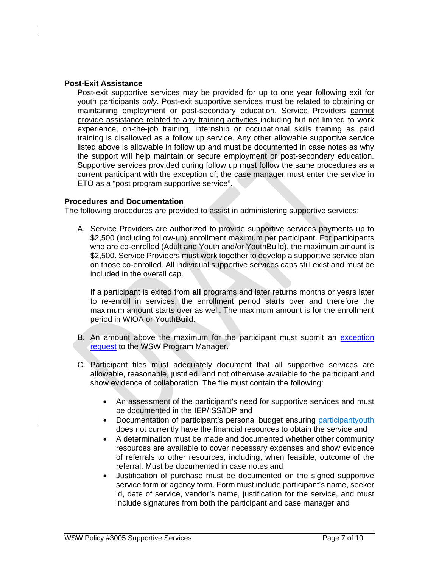### **Post-Exit Assistance**

Post-exit supportive services may be provided for up to one year following exit for youth participants *only*. Post-exit supportive services must be related to obtaining or maintaining employment or post-secondary education. Service Providers cannot provide assistance related to any training activities including but not limited to work experience, on-the-job training, internship or occupational skills training as paid training is disallowed as a follow up service. Any other allowable supportive service listed above is allowable in follow up and must be documented in case notes as why the support will help maintain or secure employment or post-secondary education. Supportive services provided during follow up must follow the same procedures as a current participant with the exception of; the case manager must enter the service in ETO as a "post program supportive service".

## **Procedures and Documentation**

The following procedures are provided to assist in administering supportive services:

A. Service Providers are authorized to provide supportive services payments up to \$2,500 (including follow-up) enrollment maximum per participant. For participants who are co-enrolled (Adult and Youth and/or YouthBuild), the maximum amount is \$2,500. Service Providers must work together to develop a supportive service plan on those co-enrolled. All individual supportive services caps still exist and must be included in the overall cap.

If a participant is exited from **all** programs and later returns months or years later to re-enroll in services, the enrollment period starts over and therefore the maximum amount starts over as well. The maximum amount is for the enrollment period in WIOA or YouthBuild.

- B. An amount above the maximum for the participant must submit an [exception](http://workforcesw.org/providers#policies)  [request](http://workforcesw.org/providers#policies) to the WSW Program Manager.
- C. Participant files must adequately document that all supportive services are allowable, reasonable, justified, and not otherwise available to the participant and show evidence of collaboration. The file must contain the following:
	- An assessment of the participant's need for supportive services and must be documented in the IEP/ISS/IDP and
	- Documentation of participant's personal budget ensuring participant veuth does not currently have the financial resources to obtain the service and
	- A determination must be made and documented whether other community resources are available to cover necessary expenses and show evidence of referrals to other resources, including, when feasible, outcome of the referral. Must be documented in case notes and
	- Justification of purchase must be documented on the signed supportive service form or agency form. Form must include participant's name, seeker id, date of service, vendor's name, justification for the service, and must include signatures from both the participant and case manager and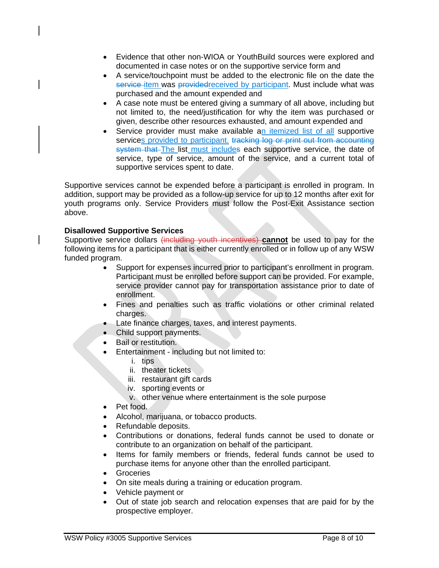- Evidence that other non-WIOA or YouthBuild sources were explored and documented in case notes or on the supportive service form and
- A service/touchpoint must be added to the electronic file on the date the service item was provided received by participant. Must include what was purchased and the amount expended and
- A case note must be entered giving a summary of all above, including but not limited to, the need/justification for why the item was purchased or given, describe other resources exhausted, and amount expended and
- Service provider must make available an itemized list of all supportive services provided to participant. tracking log or print out from accounting system that The list must includes each supportive service, the date of service, type of service, amount of the service, and a current total of supportive services spent to date.

Supportive services cannot be expended before a participant is enrolled in program. In addition, support may be provided as a follow-up service for up to 12 months after exit for youth programs only. Service Providers must follow the Post-Exit Assistance section above.

# **Disallowed Supportive Services**

Supportive service dollars (including youth incentives) **cannot** be used to pay for the following items for a participant that is either currently enrolled or in follow up of any WSW funded program.

- Support for expenses incurred prior to participant's enrollment in program. Participant must be enrolled before support can be provided. For example, service provider cannot pay for transportation assistance prior to date of enrollment.
- Fines and penalties such as traffic violations or other criminal related charges.
- Late finance charges, taxes, and interest payments.
- Child support payments.
- Bail or restitution.
- Entertainment including but not limited to:
	- i. tips
	- ii. theater tickets
	- iii. restaurant gift cards
	- iv. sporting events or
	- v. other venue where entertainment is the sole purpose
- Pet food.
- Alcohol, marijuana, or tobacco products.
- Refundable deposits.
- Contributions or donations, federal funds cannot be used to donate or contribute to an organization on behalf of the participant.
- Items for family members or friends, federal funds cannot be used to purchase items for anyone other than the enrolled participant.
- Groceries
- On site meals during a training or education program.
- Vehicle payment or
- Out of state job search and relocation expenses that are paid for by the prospective employer.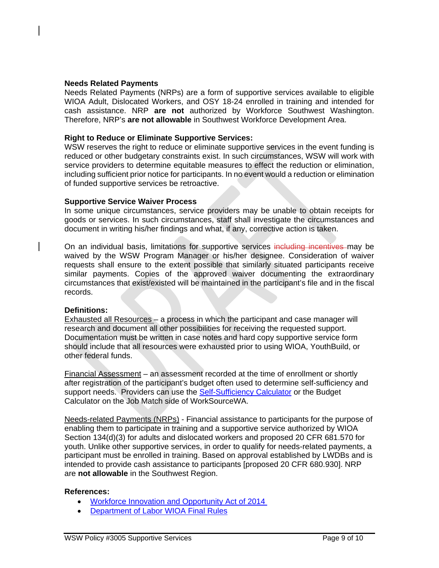### **Needs Related Payments**

Needs Related Payments (NRPs) are a form of supportive services available to eligible WIOA Adult, Dislocated Workers, and OSY 18-24 enrolled in training and intended for cash assistance. NRP **are not** authorized by Workforce Southwest Washington. Therefore, NRP's **are not allowable** in Southwest Workforce Development Area.

### **Right to Reduce or Eliminate Supportive Services:**

WSW reserves the right to reduce or eliminate supportive services in the event funding is reduced or other budgetary constraints exist. In such circumstances, WSW will work with service providers to determine equitable measures to effect the reduction or elimination, including sufficient prior notice for participants. In no event would a reduction or elimination of funded supportive services be retroactive.

#### **Supportive Service Waiver Process**

In some unique circumstances, service providers may be unable to obtain receipts for goods or services. In such circumstances, staff shall investigate the circumstances and document in writing his/her findings and what, if any, corrective action is taken.

On an individual basis, limitations for supportive services including incentives may be waived by the WSW Program Manager or his/her designee. Consideration of waiver requests shall ensure to the extent possible that similarly situated participants receive similar payments. Copies of the approved waiver documenting the extraordinary circumstances that exist/existed will be maintained in the participant's file and in the fiscal records.

#### **Definitions:**

Exhausted all Resources – a process in which the participant and case manager will research and document all other possibilities for receiving the requested support. Documentation must be written in case notes and hard copy supportive service form should include that all resources were exhausted prior to using WIOA, YouthBuild, or other federal funds.

Financial Assessment – an assessment recorded at the time of enrollment or shortly after registration of the participant's budget often used to determine self-sufficiency and support needs. Providers can use the [Self-Sufficiency Calculator](http://www.thecalculator.org/) or the Budget Calculator on the Job Match side of WorkSourceWA.

Needs-related Payments (NRPs) - Financial assistance to participants for the purpose of enabling them to participate in training and a supportive service authorized by WIOA Section 134(d)(3) for adults and dislocated workers and proposed 20 CFR 681.570 for youth. Unlike other supportive services, in order to qualify for needs-related payments, a participant must be enrolled in training. Based on approval established by LWDBs and is intended to provide cash assistance to participants [proposed 20 CFR 680.930]. NRP are **not allowable** in the Southwest Region.

#### **References:**

- [Workforce Innovation and Opportunity Act of 2014](https://www.congress.gov/113/bills/hr803/BILLS-113hr803enr.pdf)
- [Department of Labor WIOA Final Rules](https://www.doleta.gov/WIOA/Docs/wioa-regs-joint-final-rule.pdf)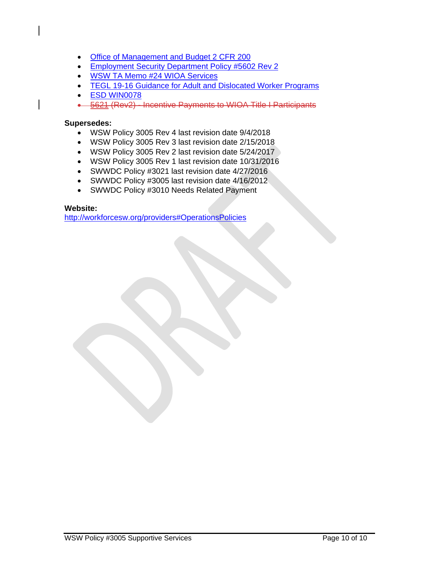- [Office of Management and Budget 2 CFR 200](http://www.ecfr.gov/cgi-bin/text-idx?tpl=/ecfrbrowse/Title02/2cfr200_main_02.tpl)
- **[Employment Security Department Policy #5602](http://media.wpc.wa.gov/media/WPC/adm/policy/5602-2.pdf) Rev 2**
- [WSW TA Memo #24 WIOA Services](http://workforcesw.org/providers#technical-assistance)
- **[TEGL 19-16 Guidance for Adult and Dislocated Worker Programs](https://wdr.doleta.gov/directives/attach/TEGL/TEGL_19-16.pdf)**
- [ESD WIN0078](http://media.wpc.wa.gov/media/WPC/adm/policy/0078.pdf)
- 5621 (Rev2) Incentive Payments to WIOA Title I Participants

### **Supersedes:**

- WSW Policy 3005 Rev 4 last revision date 9/4/2018
- WSW Policy 3005 Rev 3 last revision date 2/15/2018
- WSW Policy 3005 Rev 2 last revision date 5/24/2017
- WSW Policy 3005 Rev 1 last revision date 10/31/2016
- SWWDC Policy #3021 last revision date 4/27/2016
- SWWDC Policy #3005 last revision date 4/16/2012
- SWWDC Policy #3010 Needs Related Payment

### **Website:**

<http://workforcesw.org/providers#OperationsPolicies>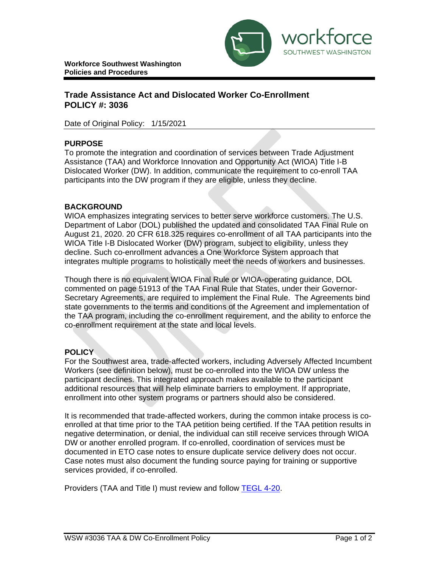

# **Trade Assistance Act and Dislocated Worker Co-Enrollment POLICY #: 3036**

Date of Original Policy: 1/15/2021

## **PURPOSE**

To promote the integration and coordination of services between Trade Adjustment Assistance (TAA) and Workforce Innovation and Opportunity Act (WIOA) Title I-B Dislocated Worker (DW). In addition, communicate the requirement to co-enroll TAA participants into the DW program if they are eligible, unless they decline.

## **BACKGROUND**

WIOA emphasizes integrating services to better serve workforce customers. The U.S. Department of Labor (DOL) published the updated and consolidated TAA Final Rule on August 21, 2020. 20 CFR 618.325 requires co-enrollment of all TAA participants into the WIOA Title I-B Dislocated Worker (DW) program, subject to eligibility, unless they decline. Such co-enrollment advances a One Workforce System approach that integrates multiple programs to holistically meet the needs of workers and businesses.

Though there is no equivalent WIOA Final Rule or WIOA-operating guidance, DOL commented on page 51913 of the TAA Final Rule that States, under their Governor-Secretary Agreements, are required to implement the Final Rule. The Agreements bind state governments to the terms and conditions of the Agreement and implementation of the TAA program, including the co-enrollment requirement, and the ability to enforce the co-enrollment requirement at the state and local levels.

## **POLICY**

For the Southwest area, trade-affected workers, including Adversely Affected Incumbent Workers (see definition below), must be co-enrolled into the WIOA DW unless the participant declines. This integrated approach makes available to the participant additional resources that will help eliminate barriers to employment. If appropriate, enrollment into other system programs or partners should also be considered.

It is recommended that trade-affected workers, during the common intake process is coenrolled at that time prior to the TAA petition being certified. If the TAA petition results in negative determination, or denial, the individual can still receive services through WIOA DW or another enrolled program. If co-enrolled, coordination of services must be documented in ETO case notes to ensure duplicate service delivery does not occur. Case notes must also document the funding source paying for training or supportive services provided, if co-enrolled.

Providers (TAA and Title I) must review and follow [TEGL](https://wdr.doleta.gov/directives/corr_doc.cfm?DOCN=6273) 4[-20.](https://wdr.doleta.gov/directives/corr_doc.cfm?DOCN=6273)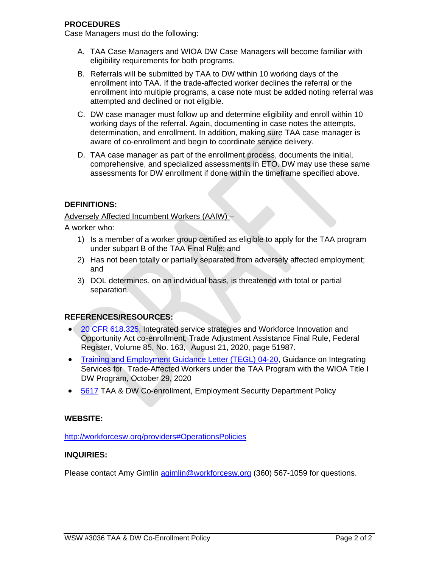## **PROCEDURES**

Case Managers must do the following:

- A. TAA Case Managers and WIOA DW Case Managers will become familiar with eligibility requirements for both programs.
- B. Referrals will be submitted by TAA to DW within 10 working days of the enrollment into TAA. If the trade-affected worker declines the referral or the enrollment into multiple programs, a case note must be added noting referral was attempted and declined or not eligible.
- C. DW case manager must follow up and determine eligibility and enroll within 10 working days of the referral. Again, documenting in case notes the attempts, determination, and enrollment. In addition, making sure TAA case manager is aware of co-enrollment and begin to coordinate service delivery.
- D. TAA case manager as part of the enrollment process, documents the initial, comprehensive, and specialized assessments in ETO. DW may use these same assessments for DW enrollment if done within the timeframe specified above.

## **DEFINITIONS:**

## Adversely Affected Incumbent Workers (AAIW) –

A worker who:

- 1) Is a member of a worker group certified as eligible to apply for the TAA program under subpart B of the TAA Final Rule; and
- 2) Has not been totally or partially separated from adversely affected employment; and
- 3) DOL determines, on an individual basis, is threatened with total or partial separation.

# **REFERENCES/RESOURCES:**

- 20 CFR [618.325,](https://www.ecfr.gov/cgi-bin/text-idx?node=pt20.3.618&rgn=div5&se20.3.618_1325) Integrated service strategies and Workforce Innovation and Opportunity Act co-enrollment, Trade Adjustment Assistance Final Rule, Federal Register, Volume 85, No. 163, August 21, 2020, page 51987.
- Training and [Employment Guidance](https://wdr.doleta.gov/directives/corr_doc.cfm?DOCN=6273) Letter (TEGL) 04-20, Guidance on Integrating Services for Trade-Affected Workers under the TAA Program with the WIOA Title I DW Program, October 29, 2020
- [5617](http://media.wpc.wa.gov/media/WPC/adm/policy/5617-1.pdf) TAA & DW Co-enrollment, Employment Security Department Policy

## **WEBSITE:**

<http://workforcesw.org/providers#OperationsPolicies>

## **INQUIRIES:**

Please contact Amy Gimlin [agimlin@workforcesw.org](mailto:agimlin@workforcesw.org) (360) 567-1059 for questions.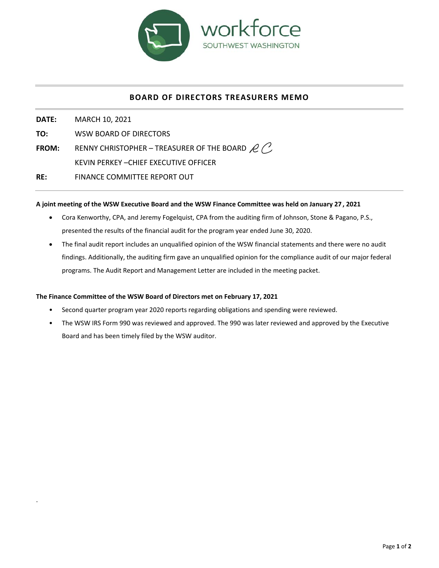

# **BOARD OF DIRECTORS TREASURERS MEMO**

**DATE:**  MARCH 10, 2021 **TO:**  WSW BOARD OF DIRECTORS **FROM:** RENNY CHRISTOPHER – TREASURER OF THE BOARD  $R$ KEVIN PERKEY –CHIEF EXECUTIVE OFFICER **RE:**  FINANCE COMMITTEE REPORT OUT

#### **A joint meeting of the WSW Executive Board and the WSW Finance Committee was held on January 27 , 2021**

- Cora Kenworthy, CPA, and Jeremy Fogelquist, CPA from the auditing firm of Johnson, Stone & Pagano, P.S., presented the results of the financial audit for the program year ended June 30, 2020.
- The final audit report includes an unqualified opinion of the WSW financial statements and there were no audit findings. Additionally, the auditing firm gave an unqualified opinion for the compliance audit of our major federal programs. The Audit Report and Management Letter are included in the meeting packet.

#### The Finance Committee of the WSW Board of Directors met on February 17, 2021

.

- Second quarter program year 2020 reports regarding obligations and spending were reviewed.
- The WSW IRS Form 990 was reviewed and approved. The 990 was later reviewed and approved by the Executive Board and has been timely filed by the WSW auditor.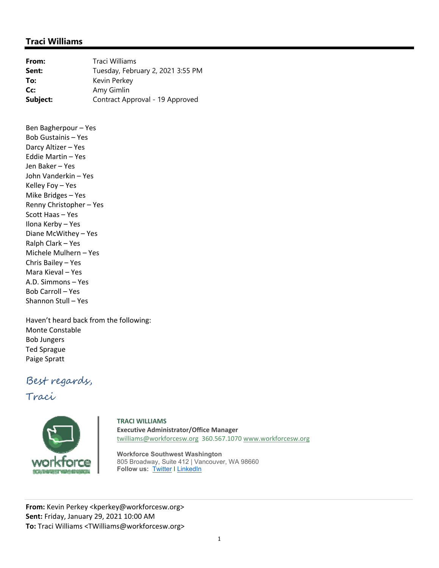# **Traci Williams**

| From:    | Traci Williams                    |  |
|----------|-----------------------------------|--|
| Sent:    | Tuesday, February 2, 2021 3:55 PM |  |
| To:      | Kevin Perkey                      |  |
| Cc:      | Amy Gimlin                        |  |
| Subject: | Contract Approval - 19 Approved   |  |

Ben Bagherpour – Yes Bob Gustainis – Yes Darcy Altizer – Yes Eddie Martin – Yes Jen Baker – Yes John Vanderkin – Yes Kelley Foy – Yes Mike Bridges – Yes Renny Christopher – Yes Scott Haas – Yes Ilona Kerby – Yes Diane McWithey – Yes Ralph Clark – Yes Michele Mulhern – Yes Chris Bailey – Yes Mara Kieval – Yes A.D. Simmons – Yes Bob Carroll – Yes Shannon Stull – Yes

Haven't heard back from the following: Monte Constable Bob Jungers Ted Sprague Paige Spratt

# Best regards,

Traci



**TRACI WILLIAMS Executive Administrator/Office Manager**  twilliams@workforcesw.org 360.567.1070 www.workforcesw.org

**Workforce Southwest Washington**  805 Broadway, Suite 412 | Vancouver, WA 98660 **Follow us: Twitter I LinkedIn** 

**From:** Kevin Perkey <kperkey@workforcesw.org> **Sent:** Friday, January 29, 2021 10:00 AM **To:** Traci Williams <TWilliams@workforcesw.org>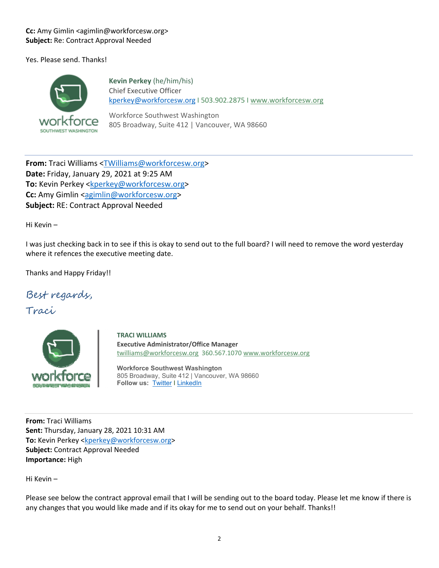## **Cc:** Amy Gimlin <agimlin@workforcesw.org> **Subject:** Re: Contract Approval Needed

Yes. Please send. Thanks!



**Kevin Perkey** (he/him/his) Chief Executive Officer kperkey@workforcesw.org I 503.902.2875 I www.workforcesw.org

Workforce Southwest Washington 805 Broadway, Suite 412 | Vancouver, WA 98660

**From:** Traci Williams <TWilliams@workforcesw.org> **Date:** Friday, January 29, 2021 at 9:25 AM **To:** Kevin Perkey <kperkey@workforcesw.org> **Cc:** Amy Gimlin <agimlin@workforcesw.org> **Subject:** RE: Contract Approval Needed

Hi Kevin –

I was just checking back in to see if this is okay to send out to the full board? I will need to remove the word yesterday where it refences the executive meeting date.

Thanks and Happy Friday!!

Best regards,

Traci



**TRACI WILLIAMS Executive Administrator/Office Manager**  twilliams@workforcesw.org 360.567.1070 www.workforcesw.org

**Workforce Southwest Washington** 805 Broadway, Suite 412 | Vancouver, WA 98660 **Follow us:** Twitter I LinkedIn

**From:** Traci Williams **Sent:** Thursday, January 28, 2021 10:31 AM **To:** Kevin Perkey <kperkey@workforcesw.org> **Subject:** Contract Approval Needed **Importance:** High

Hi Kevin –

Please see below the contract approval email that I will be sending out to the board today. Please let me know if there is any changes that you would like made and if its okay for me to send out on your behalf. Thanks!!